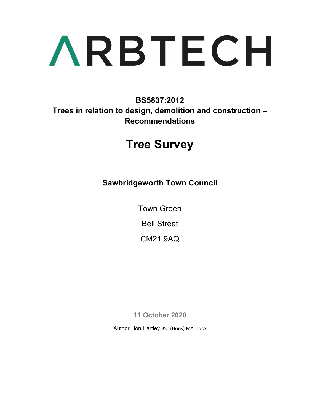**BS5837:2012 Trees in relation to design, demolition and construction – Recommendations** 

## **Tree Survey**

**Sawbridgeworth Town Council** 

Town Green

Bell Street

CM21 9AQ

**11 October 2020** 

Author: Jon Hartley BSc (Hons) MArborA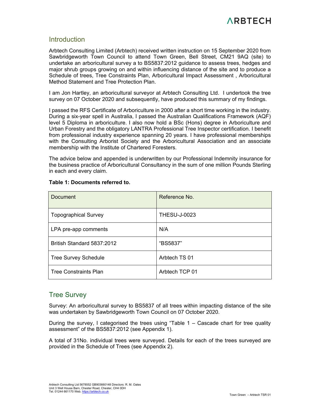#### **Introduction**

Arbtech Consulting Limited (Arbtech) received written instruction on 15 September 2020 from Sawbridgeworth Town Council to attend Town Green, Bell Street, CM21 9AQ (site) to undertake an arboricultural survey a to BS5837:2012 guidance to assess trees, hedges and major shrub groups growing on and within influencing distance of the site and to produce a Schedule of trees, Tree Constraints Plan, Arboricultural Impact Assessment , Arboricultural Method Statement and Tree Protection Plan.

I am Jon Hartley, an arboricultural surveyor at Arbtech Consulting Ltd. I undertook the tree survey on 07 October 2020 and subsequently, have produced this summary of my findings.

I passed the RFS Certificate of Arboriculture in 2000 after a short time working in the industry. During a six-year spell in Australia, I passed the Australian Qualifications Framework (AQF) level 5 Diploma in arboriculture. I also now hold a BSc (Hons) degree in Arboriculture and Urban Forestry and the obligatory LANTRA Professional Tree Inspector certification. I benefit from professional industry experience spanning 20 years. I have professional memberships with the Consulting Arborist Society and the Arboricultural Association and an associate membership with the Institute of Chartered Foresters.

The advice below and appended is underwritten by our Professional Indemnity insurance for the business practice of Arboricultural Consultancy in the sum of one million Pounds Sterling in each and every claim.

| Document                     | Reference No.       |
|------------------------------|---------------------|
| <b>Topographical Survey</b>  | <b>THESU-J-0023</b> |
| LPA pre-app comments         | N/A                 |
| British Standard 5837:2012   | "BS5837"            |
| <b>Tree Survey Schedule</b>  | Arbtech TS 01       |
| <b>Tree Constraints Plan</b> | Arbtech TCP 01      |

#### **Table 1: Documents referred to.**

#### Tree Survey

Survey: An arboricultural survey to BS5837 of all trees within impacting distance of the site was undertaken by Sawbridgeworth Town Council on 07 October 2020.

During the survey, I categorised the trees using "Table  $1 -$  Cascade chart for tree quality assessment" of the BS5837:2012 (see Appendix 1).

A total of 31No. individual trees were surveyed. Details for each of the trees surveyed are provided in the Schedule of Trees (see Appendix 2).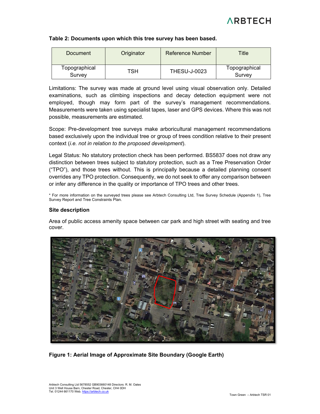#### **Table 2: Documents upon which this tree survey has been based.**

| Document                | Originator | Reference Number    | Title                   |
|-------------------------|------------|---------------------|-------------------------|
| Topographical<br>Survey | ГSН        | <b>THESU-J-0023</b> | Topographical<br>Survey |

Limitations: The survey was made at ground level using visual observation only. Detailed examinations, such as climbing inspections and decay detection equipment were not employed, though may form part of the survey's management recommendations. Measurements were taken using specialist tapes, laser and GPS devices. Where this was not possible, measurements are estimated.

Scope: Pre-development tree surveys make arboricultural management recommendations based exclusively upon the individual tree or group of trees condition relative to their present context (*i.e. not in relation to the proposed development*).

Legal Status: No statutory protection check has been performed. BS5837 does not draw any distinction between trees subject to statutory protection, such as a Tree Preservation Order ("TPO"), and those trees without. This is principally because a detailed planning consent overrides any TPO protection. Consequently, we do not seek to offer any comparison between or infer any difference in the quality or importance of TPO trees and other trees.

\* For more information on the surveyed trees please see Arbtech Consulting Ltd, Tree Survey Schedule (Appendix 1), Tree Survey Report and Tree Constraints Plan.

#### **Site description**

Area of public access amenity space between car park and high street with seating and tree cover.



**Figure 1: Aerial Image of Approximate Site Boundary (Google Earth)**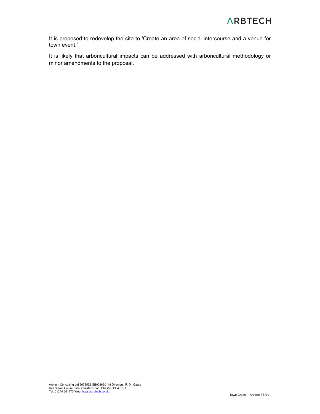It is proposed to redevelop the site to 'Create an area of social intercourse and a venue for town event.'

It is likely that arboricultural impacts can be addressed with arboricultural methodology or minor amendments to the proposal.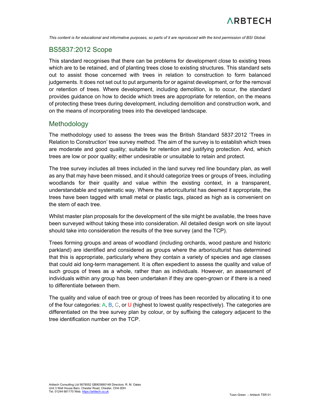

*This content is for educational and informative purposes, so parts of it are reproduced with the kind permission of BSI Global.*

#### BS5837:2012 Scope

This standard recognises that there can be problems for development close to existing trees which are to be retained, and of planting trees close to existing structures. This standard sets out to assist those concerned with trees in relation to construction to form balanced judgements. It does not set out to put arguments for or against development, or for the removal or retention of trees. Where development, including demolition, is to occur, the standard provides guidance on how to decide which trees are appropriate for retention, on the means of protecting these trees during development, including demolition and construction work, and on the means of incorporating trees into the developed landscape.

#### **Methodology**

The methodology used to assess the trees was the British Standard 5837:2012 'Trees in Relation to Construction' tree survey method. The aim of the survey is to establish which trees are moderate and good quality; suitable for retention and justifying protection. And, which trees are low or poor quality; either undesirable or unsuitable to retain and protect.

The tree survey includes all trees included in the land survey red line boundary plan, as well as any that may have been missed, and it should categorize trees or groups of trees, including woodlands for their quality and value within the existing context, in a transparent, understandable and systematic way. Where the arboriculturist has deemed it appropriate, the trees have been tagged with small metal or plastic tags, placed as high as is convenient on the stem of each tree.

Whilst master plan proposals for the development of the site might be available, the trees have been surveyed without taking these into consideration. All detailed design work on site layout should take into consideration the results of the tree survey (and the TCP).

Trees forming groups and areas of woodland (including orchards, wood pasture and historic parkland) are identified and considered as groups where the arboriculturist has determined that this is appropriate, particularly where they contain a variety of species and age classes that could aid long-term management. It is often expedient to assess the quality and value of such groups of trees as a whole, rather than as individuals. However, an assessment of individuals within any group has been undertaken if they are open-grown or if there is a need to differentiate between them.

The quality and value of each tree or group of trees has been recorded by allocating it to one of the four categories:  $A, B, C$ , or U (highest to lowest quality respectively). The categories are differentiated on the tree survey plan by colour, or by suffixing the category adjacent to the tree identification number on the TCP.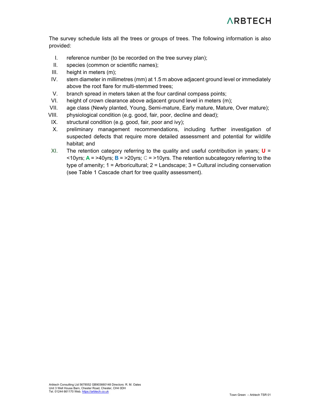The survey schedule lists all the trees or groups of trees. The following information is also provided:

- I. reference number (to be recorded on the tree survey plan);
- II. species (common or scientific names);
- III. height in meters (m);
- IV. stem diameter in millimetres (mm) at 1.5 m above adjacent ground level or immediately above the root flare for multi-stemmed trees;
- V. branch spread in meters taken at the four cardinal compass points;
- VI. height of crown clearance above adjacent ground level in meters (m);
- VII. age class (Newly planted, Young, Semi-mature, Early mature, Mature, Over mature);
- VIII. physiological condition (e.g. good, fair, poor, decline and dead);
- IX. structural condition (e.g. good, fair, poor and ivy);
- X. preliminary management recommendations, including further investigation of suspected defects that require more detailed assessment and potential for wildlife habitat; and
- XI. The retention category referring to the quality and useful contribution in years; **U** = <10yrs; **A** = >40yrs; **B** = >20yrs; **C** = >10yrs. The retention subcategory referring to the type of amenity;  $1 =$  Arboricultural;  $2 =$  Landscape;  $3 =$  Cultural including conservation (see Table 1 Cascade chart for tree quality assessment).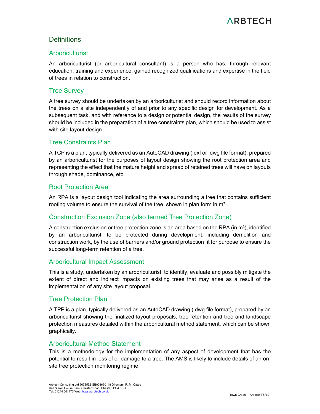#### **Definitions**

#### **Arboriculturist**

An arboriculturist (or arboricultural consultant) is a person who has, through relevant education, training and experience, gained recognized qualifications and expertise in the field of trees in relation to construction.

#### Tree Survey

A tree survey should be undertaken by an arboriculturist and should record information about the trees on a site independently of and prior to any specific design for development. As a subsequent task, and with reference to a design or potential design, the results of the survey should be included in the preparation of a tree constraints plan, which should be used to assist with site layout design.

#### Tree Constraints Plan

A TCP is a plan, typically delivered as an AutoCAD drawing (.dxf or .dwg file format), prepared by an arboriculturist for the purposes of layout design showing the root protection area and representing the effect that the mature height and spread of retained trees will have on layouts through shade, dominance, etc.

#### Root Protection Area

An RPA is a layout design tool indicating the area surrounding a tree that contains sufficient rooting volume to ensure the survival of the tree, shown in plan form in m².

#### Construction Exclusion Zone (also termed Tree Protection Zone)

A construction exclusion or tree protection zone is an area based on the RPA (in  $m<sup>2</sup>$ ), identified by an arboriculturist, to be protected during development, including demolition and construction work, by the use of barriers and/or ground protection fit for purpose to ensure the successful long-term retention of a tree.

#### Arboricultural Impact Assessment

This is a study, undertaken by an arboriculturist, to identify, evaluate and possibly mitigate the extent of direct and indirect impacts on existing trees that may arise as a result of the implementation of any site layout proposal.

#### Tree Protection Plan

A TPP is a plan, typically delivered as an AutoCAD drawing (.dwg file format), prepared by an arboriculturist showing the finalized layout proposals, tree retention and tree and landscape protection measures detailed within the arboricultural method statement, which can be shown graphically.

#### Arboricultural Method Statement

This is a methodology for the implementation of any aspect of development that has the potential to result in loss of or damage to a tree. The AMS is likely to include details of an onsite tree protection monitoring regime.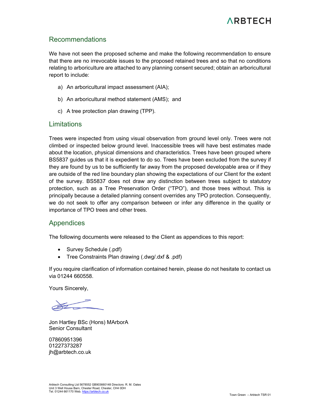#### Recommendations

We have not seen the proposed scheme and make the following recommendation to ensure that there are no irrevocable issues to the proposed retained trees and so that no conditions relating to arboriculture are attached to any planning consent secured; obtain an arboricultural report to include:

- a) An arboricultural impact assessment (AIA);
- b) An arboricultural method statement (AMS); and
- c) A tree protection plan drawing (TPP).

#### Limitations

Trees were inspected from using visual observation from ground level only. Trees were not climbed or inspected below ground level. Inaccessible trees will have best estimates made about the location, physical dimensions and characteristics. Trees have been grouped where BS5837 guides us that it is expedient to do so. Trees have been excluded from the survey if they are found by us to be sufficiently far away from the proposed developable area or if they are outside of the red line boundary plan showing the expectations of our Client for the extent of the survey. BS5837 does not draw any distinction between trees subject to statutory protection, such as a Tree Preservation Order ("TPO"), and those trees without. This is principally because a detailed planning consent overrides any TPO protection. Consequently, we do not seek to offer any comparison between or infer any difference in the quality or importance of TPO trees and other trees.

#### Appendices

The following documents were released to the Client as appendices to this report:

- Survey Schedule (.pdf)
- Tree Constraints Plan drawing (.dwg/.dxf & .pdf)

If you require clarification of information contained herein, please do not hesitate to contact us via 01244 660558.

Yours Sincerely,

Jon Hartley BSc (Hons) MArborA Senior Consultant

07860951396 01227373287 jh@arbtech.co.uk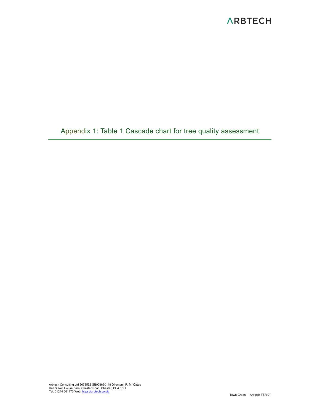Appendix 1: Table 1 Cascade chart for tree quality assessment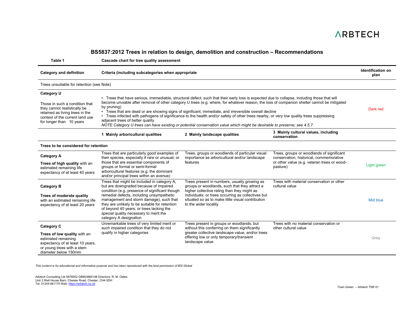#### **BS5837:2012 Trees in relation to design, demolition and construction – Recommendations**

**Table 1 Cascade chart for tree quality assessment** 

| <b>Category and definition</b>                                                                                                                                                 | Criteria (including subcategories when appropriate                                                                                                                                                                                                                                                                                                                                                                                                                                                                                                                                                                                                                                                                                |                                                                                                                                                                                                                                                                                  |                                                                                                                                                 | <b>Identification on</b><br>plan |  |  |  |  |  |  |  |  |  |
|--------------------------------------------------------------------------------------------------------------------------------------------------------------------------------|-----------------------------------------------------------------------------------------------------------------------------------------------------------------------------------------------------------------------------------------------------------------------------------------------------------------------------------------------------------------------------------------------------------------------------------------------------------------------------------------------------------------------------------------------------------------------------------------------------------------------------------------------------------------------------------------------------------------------------------|----------------------------------------------------------------------------------------------------------------------------------------------------------------------------------------------------------------------------------------------------------------------------------|-------------------------------------------------------------------------------------------------------------------------------------------------|----------------------------------|--|--|--|--|--|--|--|--|--|
| Trees unsuitable for retention (see Note)                                                                                                                                      |                                                                                                                                                                                                                                                                                                                                                                                                                                                                                                                                                                                                                                                                                                                                   |                                                                                                                                                                                                                                                                                  |                                                                                                                                                 |                                  |  |  |  |  |  |  |  |  |  |
| Category U<br>Those in such a condition that<br>they cannot realistically be<br>retained as living trees in the<br>context of the current land use<br>for longer than 10 years | • Trees that have serious, irremediable, structural defect, such that their early loss is expected due to collapse, including those that will<br>become unviable after removal of other category U trees (e.g. where, for whatever reason, the loss of companion shelter cannot be mitigated<br>by pruning)<br>• Trees that are dead or are showing signs of significant, immediate, and irreversible overall decline<br>• Trees infected with pathogens of significance to the health and/or safety of other trees nearby, or very low quality trees suppressing<br>adjacent trees of better quality<br>NOTE Category U trees can have existing or potential conservation value which might be desirable to preserve; see 4.5.7. |                                                                                                                                                                                                                                                                                  |                                                                                                                                                 |                                  |  |  |  |  |  |  |  |  |  |
|                                                                                                                                                                                | 1 Mainly arboricultural qualities                                                                                                                                                                                                                                                                                                                                                                                                                                                                                                                                                                                                                                                                                                 | 2 Mainly landscape qualities                                                                                                                                                                                                                                                     | 3 Mainly cultural values, including<br>conservation                                                                                             |                                  |  |  |  |  |  |  |  |  |  |
| Trees to be considered for retention                                                                                                                                           |                                                                                                                                                                                                                                                                                                                                                                                                                                                                                                                                                                                                                                                                                                                                   |                                                                                                                                                                                                                                                                                  |                                                                                                                                                 |                                  |  |  |  |  |  |  |  |  |  |
| <b>Category A</b><br>Trees of high quality with an<br>estimated remaining life<br>expectancy of at least 40 years                                                              | Trees that are particularly good examples of<br>their species, especially if rare or unusual; or<br>those that are essential components of<br>groups or formal or semi-formal<br>arboricultural features (e.g. the dominant<br>and/or principal trees within an avenue)                                                                                                                                                                                                                                                                                                                                                                                                                                                           | Trees, groups or woodlands of particular visual<br>importance as arboricultural and/or landscape<br>features                                                                                                                                                                     | Trees, groups or woodlands of significant<br>conservation, historical, commemorative<br>or other value (e.g. veteran trees or wood-<br>pasture) | Light green                      |  |  |  |  |  |  |  |  |  |
| <b>Category B</b><br>Trees of moderate quality<br>with an estimated remaining life<br>expectancy of at least 20 years                                                          | Trees that might be included in category A,<br>but are downgraded because of impaired<br>condition (e.g. presence of significant though<br>remedial defects, including unsympathetic<br>management and storm damage), such that<br>they are unlikely to be suitable for retention<br>of beyond 40 years; or trees lacking the<br>special quality necessary to merit the<br>category A designation                                                                                                                                                                                                                                                                                                                                 | Trees present in numbers, usually growing as<br>groups or woodlands, such that they attract a<br>higher collective rating than they might as<br>individuals; or trees occurring as collectives but<br>situated so as to make little visual contribution<br>to the wider locality | Trees with material conservation or other<br>cultural value                                                                                     | Mid blue                         |  |  |  |  |  |  |  |  |  |
| Category C<br>Trees of low quality with an<br>estimated remaining<br>expectancy of at least 10 years,<br>or young trees with a stem<br>diameter below 150mm                    | Unremarkable trees of very limited merit or<br>such impaired condition that they do not<br>qualify in higher categories                                                                                                                                                                                                                                                                                                                                                                                                                                                                                                                                                                                                           | Trees present in groups or woodlands, but<br>without this conferring on them significantly<br>greater collective landscape value; and/or trees<br>offering low or only temporary/transient<br>landscape value                                                                    | Trees with no material conservation or<br>other cultural value                                                                                  | Grev                             |  |  |  |  |  |  |  |  |  |

*This content is for educational and informative purpose and has been reproduced with the kind permission of BSI Global*

Arbtech Consulting Ltd 5678552 GB903660148 Directors: R. M. Oates Unit 3 Well House Barn, Chester Road, Chester, CH4 0DH Tel. 01244 661170 Web. https://arbtech.co.uk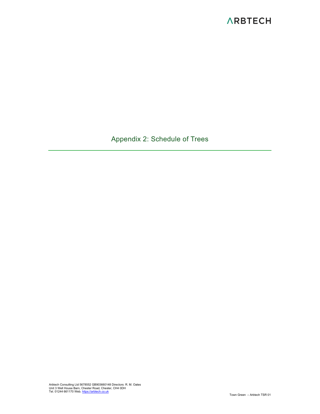Appendix 2: Schedule of Trees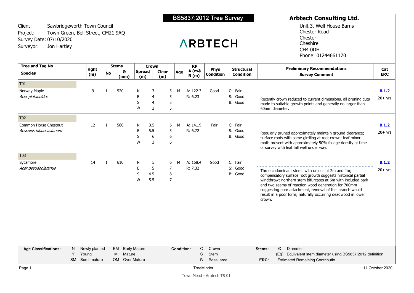| Client:<br>Project:<br>Survey Date: 07/10/2020<br>Jon Hartley<br>Surveyor: | Sawbridgeworth Town Council<br>Town Green, Bell Street, CM21 9AQ |              |                                     |                      |                      |                                            |                   |                            | <b>ARBTECH</b>                     |                                       | Unit 3, Well House Barns<br><b>Chester Road</b><br>Chester<br>Cheshire<br>CH4 0DH<br>Phone: 01244661170                                                                                                                                                                                                                                                                       |                    |
|----------------------------------------------------------------------------|------------------------------------------------------------------|--------------|-------------------------------------|----------------------|----------------------|--------------------------------------------|-------------------|----------------------------|------------------------------------|---------------------------------------|-------------------------------------------------------------------------------------------------------------------------------------------------------------------------------------------------------------------------------------------------------------------------------------------------------------------------------------------------------------------------------|--------------------|
| <b>Tree and Tag No</b><br><b>Species</b>                                   | <b>Hght</b><br>(m)                                               | No           | <b>Stems</b><br>Ø<br>(mm)           | <b>Spread</b><br>(m) | <b>Crown</b>         | <b>Clear</b><br>(m)                        | Age               | <b>RP</b><br>A(m2)<br>R(m) | Phys<br><b>Condition</b>           | <b>Structural</b><br><b>Condition</b> | <b>Preliminary Recommendations</b><br><b>Survey Comment</b>                                                                                                                                                                                                                                                                                                                   | Cat<br><b>ERC</b>  |
| <b>T01</b><br>Norway Maple<br>Acer platanoides                             | 9                                                                | $\mathbf{1}$ | 520                                 | Ν<br>Ε<br>S<br>W     | 3<br>4<br>4<br>3     | 5<br>5<br>5<br>5                           | M                 | A: 122.3<br>R: 6.23        | Good                               | C: Fair<br>S: Good<br>B: Good         | Recently crown reduced to current dimensions, all pruning cuts<br>made to suitable growth points and generally no larger than<br>60mm diameter.                                                                                                                                                                                                                               | B.1.2<br>$20+$ yrs |
| T <sub>02</sub><br>Common Horse Chestnut<br>Aesculus hippocastanum         | 12                                                               | 1            | 560                                 | N<br>Е<br>S<br>W     | 3.5<br>5.5<br>6<br>3 | 6<br>5<br>6<br>6                           | M                 | A: 141.9<br>R: 6.72        | Fair                               | C: Fair<br>S: Good<br>B: Good         | Regularly pruned approximately maintain ground clearance;<br>surface roots with some girdling at root crown; leaf minor<br>moth present with approximately 50% foliage density at time<br>of survey with leaf fall well under way.                                                                                                                                            | B.1.2<br>$20+$ yrs |
| T <sub>03</sub><br>Sycamore<br>Acer pseudoplatanus                         | 14                                                               | $\mathbf{1}$ | 610                                 | N<br>E<br>S<br>W     | 5<br>5<br>4.5<br>5.5 | 6<br>$\overline{7}$<br>8<br>$\overline{7}$ | M                 | A: 168.4<br>R: 7.32        | Good                               | C: Fair<br>S: Good<br>B: Good         | Three codominant stems with unions at 2m and 4m;<br>compensatory surface root growth suggests historical partial<br>windthrow; northern stem bifurcates at 6m with included bark<br>and two seams of reaction wood generation for 700mm<br>suggesting poor attachment, removal of this branch would<br>result in a poor form; naturally occurring deadwood in lower<br>crown. | B.1.2<br>$20+$ yrs |
| <b>Age Classifications:</b>                                                | Newly planted<br>N<br>Y<br>Young<br>SM Semi-mature               |              | EM<br>Mature<br>M<br>OM Over Mature | <b>Early Mature</b>  |                      |                                            | <b>Condition:</b> | C<br>S<br>B                | Crown<br><b>Stem</b><br>Basal area |                                       | Diameter<br>Ø<br>Stems:<br>(Eq) Equivalent stem diameter using BS5837:2012 definition<br><b>Estimated Remaining Contributio</b><br>ERC:                                                                                                                                                                                                                                       |                    |

BS5837:2012 Tree Survey

**Arbtech Consulting Ltd.**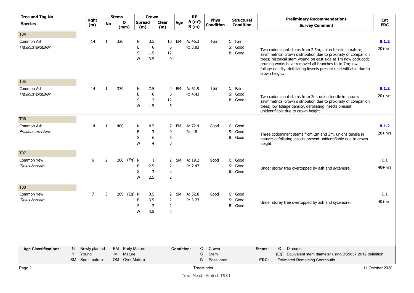| <b>Tree and Tag No</b>      |    |                    |                | <b>Stems</b> |                      | <b>Crown</b>          |                                  |                   | <b>RP</b>      |                                 |                                       | <b>Preliminary Recommendations</b>                                                                                          |                      |
|-----------------------------|----|--------------------|----------------|--------------|----------------------|-----------------------|----------------------------------|-------------------|----------------|---------------------------------|---------------------------------------|-----------------------------------------------------------------------------------------------------------------------------|----------------------|
| <b>Species</b>              |    | <b>Hght</b><br>(m) | No             | Ø<br>(mm)    | <b>Spread</b><br>(m) |                       | <b>Clear</b><br>(m)              | Age               | A (m2)<br>R(m) | <b>Phys</b><br><b>Condition</b> | <b>Structural</b><br><b>Condition</b> | <b>Survey Comment</b>                                                                                                       | Cat<br><b>ERC</b>    |
| T <sub>04</sub>             |    |                    |                |              |                      |                       |                                  |                   |                |                                 |                                       |                                                                                                                             |                      |
| Common Ash                  |    | 14                 | $\mathbf{1}$   | 320          | N                    | 3.5                   | 10                               | EM                | A: 46.3        | Fair                            | C: Fair                               |                                                                                                                             | B.1.2                |
| Fraxinus excelsior          |    |                    |                |              | Е                    | 6                     | 6                                |                   | R: 3.83        |                                 | S: Good                               | Two codominant stems from 2.5m, union tensile in nature;                                                                    | $20+$ yrs            |
|                             |    |                    |                |              | S                    | 1.5                   | 12                               |                   |                |                                 | B: Good                               | asymmetrical crown distribution due to proximity of companion                                                               |                      |
|                             |    |                    |                |              | W                    | 3.5                   | 9                                |                   |                |                                 |                                       | trees; historical stem wound on east side at 1m now occluded;                                                               |                      |
|                             |    |                    |                |              |                      |                       |                                  |                   |                |                                 |                                       | pruning works have removed all branches to to 7m; low<br>foliage density, defoliating insects present unidentifiable due to |                      |
|                             |    |                    |                |              |                      |                       |                                  |                   |                |                                 |                                       | crown height.                                                                                                               |                      |
| T <sub>05</sub>             |    |                    |                |              |                      |                       |                                  |                   |                |                                 |                                       |                                                                                                                             |                      |
| Common Ash                  |    | 14                 | $\mathbf{1}$   | 370          | N                    | 7.5                   | 4                                | EM                | A: 61.9        | Fair                            | C: Fair                               |                                                                                                                             | B.1.2                |
| Fraxinus excelsior          |    |                    |                |              | E                    | 6                     | 6                                |                   | R: 4.43        |                                 | S: Good                               | Two codominant stems from 2m, union tensile in nature;                                                                      | $20+$ yrs            |
|                             |    |                    |                |              | S                    | $\overline{2}$        | 12                               |                   |                |                                 | B: Good                               | asymmetrical crown distribution due to proximity of companion                                                               |                      |
|                             |    |                    |                |              | W                    | 1.5                   | 5                                |                   |                |                                 |                                       | trees; low foliage density, defoliating insects present<br>unidentifiable due to crown height.                              |                      |
| T <sub>06</sub>             |    |                    |                |              |                      |                       |                                  |                   |                |                                 |                                       |                                                                                                                             |                      |
| Common Ash                  |    | 14                 | 1              | 400          | N                    | 4.5                   | 7                                | EM                | A: 72.4        | Good                            | C: Good                               |                                                                                                                             | B.1.2                |
| Fraxinus excelsior          |    |                    |                |              | E                    | 3                     | 9                                |                   | R: 4.8         |                                 | S: Good                               | Three codominant stems from 2m and 3m, unions tensile in                                                                    | $20+$ yrs            |
|                             |    |                    |                |              | S                    | 6                     | 6                                |                   |                |                                 | B: Good                               | nature; defoliating insects present unidentifiable due to crown                                                             |                      |
|                             |    |                    |                |              | W                    | 4                     | 8                                |                   |                |                                 |                                       | height.                                                                                                                     |                      |
| <b>T07</b>                  |    |                    |                |              |                      |                       |                                  |                   |                |                                 |                                       |                                                                                                                             |                      |
| Common Yew                  |    | 6                  | $\overline{2}$ | 206 (Eq) N   |                      | -1                    | $\overline{2}$                   | SM                | A: 19.2        | Good                            | C: Good                               |                                                                                                                             | C.1                  |
| Taxus baccata               |    |                    |                |              | E                    | 2.5                   | $\overline{2}$                   |                   | R: 2.47        |                                 | S: Good                               | Under storey tree overtopped by ash and sycamore.                                                                           | $40+$ yrs            |
|                             |    |                    |                |              | S                    | 3                     | $\overline{2}$                   |                   |                |                                 | B: Good                               |                                                                                                                             |                      |
|                             |    |                    |                |              | W                    | 2.5                   | $\overline{2}$                   |                   |                |                                 |                                       |                                                                                                                             |                      |
| <b>T08</b>                  |    |                    |                |              |                      |                       |                                  |                   |                |                                 |                                       |                                                                                                                             |                      |
| Common Yew                  |    | 7                  | 3              | 269 (Eq) N   |                      | 3.5                   | $\mathbf{2}$                     | <b>SM</b>         | A: 32.8        | Good                            | C: Good                               |                                                                                                                             | C.1                  |
| Taxus baccata               |    |                    |                |              | E                    | 3.5                   | $\overline{2}$                   |                   | R: 3.23        |                                 | S: Good                               | Under storey tree overtopped by ash and sycamore.                                                                           | $40+$ yrs            |
|                             |    |                    |                |              | S<br>W               | $\overline{2}$<br>3.5 | $\overline{2}$<br>$\overline{2}$ |                   |                |                                 | B: Good                               |                                                                                                                             |                      |
|                             |    |                    |                |              |                      |                       |                                  |                   |                |                                 |                                       |                                                                                                                             |                      |
|                             |    |                    |                |              |                      |                       |                                  |                   |                |                                 |                                       |                                                                                                                             |                      |
|                             |    |                    |                |              |                      |                       |                                  |                   |                |                                 |                                       |                                                                                                                             |                      |
|                             |    |                    |                |              |                      |                       |                                  |                   |                |                                 |                                       |                                                                                                                             |                      |
| <b>Age Classifications:</b> | N, | Newly planted      |                | EM           | <b>Early Mature</b>  |                       |                                  | <b>Condition:</b> | C              | Crown                           |                                       | Diameter<br>Stems:<br>Ø                                                                                                     |                      |
|                             | Y  | Young              |                | Mature<br>M  |                      |                       |                                  |                   | $\mathbb S$    | Stem                            |                                       | (Eq) Equivalent stem diameter using BS5837:2012 definition                                                                  |                      |
|                             |    | SM Semi-mature     |                |              | OM Over Mature       |                       |                                  |                   | B              | Basal area                      |                                       | <b>Estimated Remaining Contributio</b><br>ERC:                                                                              |                      |
| $Dess \Omega$               |    |                    |                |              |                      |                       |                                  |                   |                | Trachlinder                     |                                       |                                                                                                                             | $11 \nO$ stabar 2020 |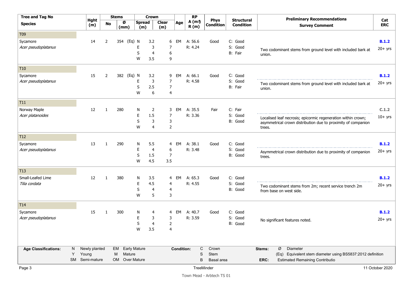| <b>Tree and Tag No</b>      |   |                    |                | <b>Stems</b> |                    |                      | <b>Crown</b>   |                |                   | <b>RP</b>                  |             |                                 |                                       |        |   | <b>Preliminary Recommendations</b>                            |                   |
|-----------------------------|---|--------------------|----------------|--------------|--------------------|----------------------|----------------|----------------|-------------------|----------------------------|-------------|---------------------------------|---------------------------------------|--------|---|---------------------------------------------------------------|-------------------|
| <b>Species</b>              |   | <b>Hght</b><br>(m) | <b>No</b>      |              | Ø<br>(mm)          | <b>Spread</b><br>(m) |                | Clear<br>(m)   | Age               | A(m <sub>2</sub> )<br>R(m) |             | <b>Phys</b><br><b>Condition</b> | <b>Structural</b><br><b>Condition</b> |        |   | <b>Survey Comment</b>                                         | Cat<br><b>ERC</b> |
| T <sub>09</sub>             |   |                    |                |              |                    |                      |                |                |                   |                            |             |                                 |                                       |        |   |                                                               |                   |
| Sycamore                    |   | 14                 | $\overline{2}$ |              | 354 (Eq) N         |                      | 3.2            | 6              | EM                | A: 56.6                    |             | Good                            | C: Good                               |        |   |                                                               | B.1.2             |
| Acer pseudoplatanus         |   |                    |                |              |                    | Ε                    | 3              | 7              |                   | R: 4.24                    |             |                                 | S: Good                               |        |   | Two codominant stems from ground level with included bark at  | $20+$ yrs         |
|                             |   |                    |                |              |                    | S                    | 4              | 6              |                   |                            |             |                                 | B: Fair                               | union. |   |                                                               |                   |
|                             |   |                    |                |              |                    | W                    | 3.5            | 9              |                   |                            |             |                                 |                                       |        |   |                                                               |                   |
| T10                         |   |                    |                |              |                    |                      |                |                |                   |                            |             |                                 |                                       |        |   |                                                               |                   |
| Sycamore                    |   | 15                 | $\overline{2}$ |              | 382 (Eq) N         |                      | 3.2            | 9              | EM                | A: 66.1                    |             | Good                            | C: Good                               |        |   |                                                               | B.1.2             |
| Acer pseudoplatanus         |   |                    |                |              |                    | E                    | 3              | $\overline{7}$ |                   | R: 4.58                    |             |                                 | S: Good                               |        |   | Two codominant stems from ground level with included bark at  | $20+$ yrs         |
|                             |   |                    |                |              |                    | S                    | 2.5            | $\overline{7}$ |                   |                            |             |                                 | B: Fair                               | union. |   |                                                               |                   |
|                             |   |                    |                |              |                    | W                    | 6              | 4              |                   |                            |             |                                 |                                       |        |   |                                                               |                   |
| T11                         |   |                    |                |              |                    |                      |                |                |                   |                            |             |                                 |                                       |        |   |                                                               |                   |
| Norway Maple                |   | 12                 | $\mathbf{1}$   |              | 280                | N                    | $\overline{2}$ | 3              | EM                | A: 35.5                    |             | Fair                            | C: Fair                               |        |   |                                                               | C.1.2             |
| Acer platanoides            |   |                    |                |              |                    | E                    | 1.5            | 7              |                   | R: 3.36                    |             |                                 | S: Good                               |        |   | Localised leaf necrosis; epicormic regeneration within crown; | $10+$ yrs         |
|                             |   |                    |                |              |                    | S                    | 3              | 3              |                   |                            |             |                                 | B: Good                               |        |   | asymmetrical crown distribution due to proximity of companion |                   |
|                             |   |                    |                |              |                    | W                    | 4              | $\overline{2}$ |                   |                            |             |                                 |                                       | trees. |   |                                                               |                   |
| T12                         |   |                    |                |              |                    |                      |                |                |                   |                            |             |                                 |                                       |        |   |                                                               |                   |
| Sycamore                    |   | 13                 | $\mathbf{1}$   |              | 290                | N                    | 5.5            | 4              | EM                | A: 38.1                    |             | Good                            | C: Good                               |        |   |                                                               | B.1.2             |
| Acer pseudoplatanus         |   |                    |                |              |                    | E                    | $\overline{4}$ | 6              |                   | R: 3.48                    |             |                                 | S: Good                               |        |   | Asymmetrical crown distribution due to proximity of companion | $20+$ yrs         |
|                             |   |                    |                |              |                    | S                    | 1.5            | $\overline{7}$ |                   |                            |             |                                 | B: Good                               | trees. |   |                                                               |                   |
|                             |   |                    |                |              |                    | W                    | 4.5            | 3.5            |                   |                            |             |                                 |                                       |        |   |                                                               |                   |
| T <sub>13</sub>             |   |                    |                |              |                    |                      |                |                |                   |                            |             |                                 |                                       |        |   |                                                               |                   |
| Small-Leafed Lime           |   | 12                 | $\mathbf{1}$   |              | 380                | N                    | 3.5            | 4              | EM                | A: 65.3                    |             | Good                            | C: Good                               |        |   |                                                               | B.1.2             |
| Tilia cordata               |   |                    |                |              |                    | E                    | 4.5            | 4              |                   | R: 4.55                    |             |                                 | S: Good                               |        |   | Two codominant stems from 2m; recent service trench 2m        | $20+$ yrs         |
|                             |   |                    |                |              |                    | S                    | $\overline{4}$ | $\overline{4}$ |                   |                            |             |                                 | B: Good                               |        |   | from base on west side.                                       |                   |
|                             |   |                    |                |              |                    | W                    | 5              | 3              |                   |                            |             |                                 |                                       |        |   |                                                               |                   |
| T14                         |   |                    |                |              |                    |                      |                |                |                   |                            |             |                                 |                                       |        |   |                                                               |                   |
| Sycamore                    |   | 15                 | $\mathbf{1}$   | 300          |                    | N                    | 4              | 4              | EM                | A: 40.7                    |             | Good                            | C: Good                               |        |   |                                                               | B.1.2             |
| Acer pseudoplatanus         |   |                    |                |              |                    | E                    | 3              | 3              |                   | R: 3.59                    |             |                                 | S: Good                               |        |   | No significant features noted.                                | $20+$ yrs         |
|                             |   |                    |                |              |                    | S                    | $\overline{4}$ | $\overline{2}$ |                   |                            |             |                                 | B: Good                               |        |   |                                                               |                   |
|                             |   |                    |                |              |                    | W                    | 3.5            | 4              |                   |                            |             |                                 |                                       |        |   |                                                               |                   |
| <b>Age Classifications:</b> | N | Newly planted      |                | EM           |                    | <b>Early Mature</b>  |                |                | <b>Condition:</b> |                            | C           | Crown                           |                                       | Stems: | Ø | Diameter                                                      |                   |
|                             | Y | Young              |                | M            | Mature             |                      |                |                |                   |                            | S           | Stem                            |                                       |        |   | (Eq) Equivalent stem diameter using BS5837:2012 definition    |                   |
|                             |   | SM Semi-mature     |                | <b>OM</b>    | <b>Over Mature</b> |                      |                |                |                   |                            | B           | Basal area                      |                                       | ERC:   |   | <b>Estimated Remaining Contributio</b>                        |                   |
| D                           |   |                    |                |              |                    |                      |                |                |                   |                            | Trooblinder |                                 |                                       |        |   |                                                               | $11$ Ostober 2020 |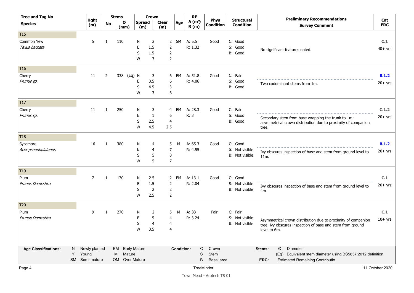| <b>Tree and Tag No</b>      |   |                    |                | <b>Stems</b> |                      | <b>Crown</b>   |                     |     | <b>RP</b>                  |            |                                 |                                       |              | <b>Preliminary Recommendations</b>                            |                     |
|-----------------------------|---|--------------------|----------------|--------------|----------------------|----------------|---------------------|-----|----------------------------|------------|---------------------------------|---------------------------------------|--------------|---------------------------------------------------------------|---------------------|
| <b>Species</b>              |   | <b>Hght</b><br>(m) | No             | Ø<br>(mm)    | <b>Spread</b><br>(m) |                | <b>Clear</b><br>(m) | Age | A(m <sub>2</sub> )<br>R(m) |            | <b>Phys</b><br><b>Condition</b> | <b>Structural</b><br><b>Condition</b> |              | <b>Survey Comment</b>                                         | Cat<br><b>ERC</b>   |
| T <sub>15</sub>             |   |                    |                |              |                      |                |                     |     |                            |            |                                 |                                       |              |                                                               |                     |
| Common Yew                  |   | 5                  | $\mathbf{1}$   | 110          | N                    | $\overline{2}$ | $\mathbf{2}$        | SM  | A: 5.5                     |            | Good                            | C: Good                               |              |                                                               | C.1                 |
| Taxus baccata               |   |                    |                |              | Ε                    | 1.5            | $\overline{2}$      |     | R: 1.32                    |            |                                 | S: Good                               |              | No significant features noted.                                | $40+$ yrs           |
|                             |   |                    |                |              | S                    | 1.5            | 2                   |     |                            |            |                                 | B: Good                               |              |                                                               |                     |
|                             |   |                    |                |              | W                    | 3              | $\overline{2}$      |     |                            |            |                                 |                                       |              |                                                               |                     |
| T <sub>16</sub>             |   |                    |                |              |                      |                |                     |     |                            |            |                                 |                                       |              |                                                               |                     |
| Cherry                      |   | 11                 | $\overline{2}$ |              | 338 (Eq) N           | 3              | 6                   | EM  | A: 51.8                    |            | Good                            | C: Fair                               |              |                                                               | B.1.2               |
| Prunus sp.                  |   |                    |                |              | Ε                    | 3.5            | 6                   |     | R: 4.06                    |            |                                 | S: Good                               |              | Two codominant stems from 1m.                                 | $20+$ yrs           |
|                             |   |                    |                |              | S                    | 4.5            | 3                   |     |                            |            |                                 | B: Good                               |              |                                                               |                     |
|                             |   |                    |                |              | W                    | 3              | 6                   |     |                            |            |                                 |                                       |              |                                                               |                     |
| T17                         |   |                    |                |              |                      |                |                     |     |                            |            |                                 |                                       |              |                                                               |                     |
| Cherry                      |   | 11                 | 1              | 250          | N                    | 3              | 4                   | EM  | A: 28.3                    |            | Good                            | C: Fair                               |              |                                                               | C.1.2               |
| Prunus sp.                  |   |                    |                |              | E                    | $\mathbf{1}$   | 6                   |     | R: 3                       |            |                                 | S: Good                               |              | Secondary stem from base wrapping the trunk to 1m;            | $20+$ yrs           |
|                             |   |                    |                |              | S                    | 2.5            | 4                   |     |                            |            |                                 | B: Good                               |              | asymmetrical crown distribution due to proximity of companion |                     |
|                             |   |                    |                |              | W                    | 4.5            | 2.5                 |     |                            |            |                                 |                                       | tree.        |                                                               |                     |
| T <sub>18</sub>             |   |                    |                |              |                      |                |                     |     |                            |            |                                 |                                       |              |                                                               |                     |
| Sycamore                    |   | 16                 | 1              | 380          | N                    | 4              | 5                   | M   | A: $65.3$                  |            | Good                            | C: Good                               |              |                                                               | B.1.2               |
| Acer pseudoplatanus         |   |                    |                |              | E                    | 4              | 7                   |     | R: 4.55                    |            |                                 | S: Not visible                        |              | Ivy obscures inspection of base and stem from ground level to | $20+$ yrs           |
|                             |   |                    |                |              | S                    | 5              | $\, 8$              |     |                            |            |                                 | B: Not visible                        | 11m.         |                                                               |                     |
|                             |   |                    |                |              | W                    | 5              | 7                   |     |                            |            |                                 |                                       |              |                                                               |                     |
| T19                         |   |                    |                |              |                      |                |                     |     |                            |            |                                 |                                       |              |                                                               |                     |
| Plum                        |   | $\overline{7}$     | $\mathbf{1}$   | 170          | N                    | 2.5            | 2                   | EM  | A: 13.1                    |            | Good                            | C: Good                               |              |                                                               | C.1                 |
| Prunus Domestica            |   |                    |                |              | E                    | 1.5            | $\mathbf{2}$        |     | R: 2.04                    |            |                                 | S: Not visible                        |              | Ivy obscures inspection of base and stem from ground level to | $20+$ yrs           |
|                             |   |                    |                |              | S                    | $\overline{2}$ | $\overline{2}$      |     |                            |            |                                 | B: Not visible                        | 4m.          |                                                               |                     |
|                             |   |                    |                |              | W                    | 2.5            | $\overline{2}$      |     |                            |            |                                 |                                       |              |                                                               |                     |
| T <sub>20</sub>             |   |                    |                |              |                      |                |                     |     |                            |            |                                 |                                       |              |                                                               |                     |
| Plum                        |   | 9                  | 1              | 270          | N                    | 2              | 5                   | M   | A: 33                      |            | Fair                            | C: Fair                               |              |                                                               | C.1                 |
| Prunus Domestica            |   |                    |                |              | E                    | 5              | 4                   |     | R: 3.24                    |            |                                 | S: Not visible                        |              | Asymmetrical crown distribution due to proximity of companion | $10+$ yrs           |
|                             |   |                    |                |              | S                    | 4              | 4                   |     |                            |            |                                 | B: Not visible                        |              | tree; ivy obscures inspection of base and stem from ground    |                     |
|                             |   |                    |                |              | W                    | 3.5            | 4                   |     |                            |            |                                 |                                       | level to 6m. |                                                               |                     |
|                             |   |                    |                |              |                      |                |                     |     |                            |            |                                 |                                       |              |                                                               |                     |
| <b>Age Classifications:</b> | N | Newly planted      |                | EM           | <b>Early Mature</b>  |                |                     |     | <b>Condition:</b>          | C          | Crown                           |                                       | Stems:       | Ø<br>Diameter                                                 |                     |
|                             | Y | Young              |                | M            | Mature               |                |                     |     |                            | S          | Stem                            |                                       |              | (Eq) Equivalent stem diameter using BS5837:2012 definition    |                     |
|                             |   | SM Semi-mature     |                | <b>OM</b>    | <b>Over Mature</b>   |                |                     |     |                            | B          | Basal area                      |                                       | ERC:         | <b>Estimated Remaining Contributio</b>                        |                     |
| Dao A                       |   |                    |                |              |                      |                |                     |     |                            | TrooMindor |                                 |                                       |              |                                                               | $11$ October $2020$ |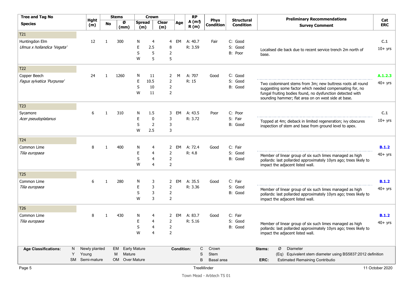| <b>Tree and Tag No</b>            |               |              | <b>Stems</b> |           |                      | <b>Crown</b>        |                                  |                   | <b>RP</b>                  |                                 |                                       |        | <b>Preliminary Recommendations</b>                                                                                |                   |
|-----------------------------------|---------------|--------------|--------------|-----------|----------------------|---------------------|----------------------------------|-------------------|----------------------------|---------------------------------|---------------------------------------|--------|-------------------------------------------------------------------------------------------------------------------|-------------------|
| <b>Species</b>                    | Hght<br>(m)   |              | <b>No</b>    | Ø<br>(mm) | <b>Spread</b><br>(m) |                     | <b>Clear</b><br>(m)              | Age               | A(m <sub>2</sub> )<br>R(m) | <b>Phys</b><br><b>Condition</b> | <b>Structural</b><br><b>Condition</b> |        | <b>Survey Comment</b>                                                                                             | Cat<br><b>ERC</b> |
| T <sub>21</sub>                   |               |              |              |           |                      |                     |                                  |                   |                            |                                 |                                       |        |                                                                                                                   |                   |
| Huntingdon Elm                    | 12            | $\mathbf{1}$ |              | 300       | N                    | 4                   | 4                                | EM                | A: $40.7$                  | Fair                            | C: Good                               |        |                                                                                                                   | C.1               |
| Ulmus x hollandica 'Vegeta'       |               |              |              |           | E                    | 2.5                 | 8                                |                   | R: 3.59                    |                                 | S: Good                               |        | Localised die back due to recent service trench 2m north of                                                       | $10+$ yrs         |
|                                   |               |              |              |           | S                    | 5                   | 2                                |                   |                            |                                 | B: Poor                               | base.  |                                                                                                                   |                   |
|                                   |               |              |              |           | W                    | 5                   | 5                                |                   |                            |                                 |                                       |        |                                                                                                                   |                   |
| T22                               |               |              |              |           |                      |                     |                                  |                   |                            |                                 |                                       |        |                                                                                                                   |                   |
| Copper Beech                      | 24            | $\mathbf{1}$ |              | 1260      | N                    | 11                  | 2                                | M                 | A: 707                     | Good                            | C: Good                               |        |                                                                                                                   | A.1.2.3           |
| Fagus sylvatica 'Purpurea'        |               |              |              |           | E                    | 10.5                | $\overline{2}$                   |                   | R: 15                      |                                 | S: Good                               |        | Two codominant stems from 3m; new buttress roots all round                                                        | $40+$ yrs         |
|                                   |               |              |              |           | S                    | 10                  | $\overline{2}$                   |                   |                            |                                 | B: Good                               |        | suggesting some factor which needed compensating for, no                                                          |                   |
|                                   |               |              |              |           | W                    | 11                  | $\overline{2}$                   |                   |                            |                                 |                                       |        | fungal fruiting bodies found, no dysfunction detected with<br>sounding hammer; flat area on on west side at base. |                   |
| T <sub>23</sub>                   |               |              |              |           |                      |                     |                                  |                   |                            |                                 |                                       |        |                                                                                                                   |                   |
| Sycamore                          | 6             | $\mathbf{1}$ |              | 310       | N                    | 1.5                 | 3                                | EM                | A: 43.5                    | Poor                            | C: Poor                               |        |                                                                                                                   | C.1               |
| Acer pseudoplatanus               |               |              |              |           | E                    | $\mathbf 0$         | 3                                |                   | R: 3.72                    |                                 | S: Fair                               |        | Topped at 4m; dieback in limited regeneration; ivy obscures                                                       | $10+$ yrs         |
|                                   |               |              |              |           | S                    | $\overline{2}$      | 3                                |                   |                            |                                 | B: Good                               |        | inspection of stem and base from ground level to apex.                                                            |                   |
|                                   |               |              |              |           | W                    | 2.5                 | 3                                |                   |                            |                                 |                                       |        |                                                                                                                   |                   |
| T24                               |               |              |              |           |                      |                     |                                  |                   |                            |                                 |                                       |        |                                                                                                                   |                   |
| Common Lime                       | 8             | $\mathbf{1}$ |              | 400       | N                    | 4                   | $\mathbf{2}$                     | EM                | A: 72.4                    | Good                            | C: Fair                               |        |                                                                                                                   | B.1.2             |
| Tilia europaea                    |               |              |              |           | E                    | 4                   | 2                                |                   | R: 4.8                     |                                 | S: Good                               |        | Member of linear group of six such limes managed as high                                                          | $40+$ yrs         |
|                                   |               |              |              |           | S<br>W               | 4<br>4              | $\mathbf 2$<br>$\overline{2}$    |                   |                            |                                 | B: Good                               |        | pollards: last pollarded approximately 10yrs ago; trees likely to                                                 |                   |
|                                   |               |              |              |           |                      |                     |                                  |                   |                            |                                 |                                       |        | impact the adjacent listed wall.                                                                                  |                   |
| T <sub>25</sub>                   |               |              |              |           |                      |                     |                                  |                   |                            |                                 |                                       |        |                                                                                                                   |                   |
| Common Lime                       | 6             | 1            |              | 280       | N                    | 3                   | 2                                | EM                | A: 35.5                    | Good                            | C: Fair                               |        |                                                                                                                   | B.1.2             |
| Tilia europaea                    |               |              |              |           | E                    | 3                   | $\overline{2}$                   |                   | R: 3.36                    |                                 | S: Good                               |        | Member of linear group of six such limes managed as high                                                          | $40+$ yrs         |
|                                   |               |              |              |           | S<br>W               | 3<br>3              | $\overline{2}$<br>$\overline{2}$ |                   |                            |                                 | B: Good                               |        | pollards: last pollarded approximately 10yrs ago; trees likely to<br>impact the adjacent listed wall.             |                   |
|                                   |               |              |              |           |                      |                     |                                  |                   |                            |                                 |                                       |        |                                                                                                                   |                   |
| T <sub>26</sub>                   |               |              |              |           |                      |                     |                                  |                   |                            |                                 |                                       |        |                                                                                                                   |                   |
| Common Lime                       | 8             | 1            |              | 430       | N                    | 4                   | $\mathbf{2}$                     | EM                | A: 83.7                    | Good                            | C: Fair                               |        |                                                                                                                   | B.1.2             |
| Tilia europaea                    |               |              |              |           | E                    | 4                   | $\overline{2}$                   |                   | R: 5.16                    |                                 | S: Good                               |        | Member of linear group of six such limes managed as high                                                          | $40+$ yrs         |
|                                   |               |              |              |           | S<br>W               | 4<br>$\overline{4}$ | $\overline{2}$<br>$\overline{2}$ |                   |                            |                                 | B: Good                               |        | pollards: last pollarded approximately 10yrs ago; trees likely to                                                 |                   |
|                                   |               |              |              |           |                      |                     |                                  |                   |                            |                                 |                                       |        | impact the adjacent listed wall.                                                                                  |                   |
| <b>Age Classifications:</b><br>N. | Newly planted |              | EM           |           | <b>Early Mature</b>  |                     |                                  | <b>Condition:</b> | C                          | Crown                           |                                       | Stems: | Diameter<br>Ø                                                                                                     |                   |
| Υ                                 | Young         |              | M            | Mature    |                      |                     |                                  |                   | S                          | <b>Stem</b>                     |                                       |        | (Eq) Equivalent stem diameter using BS5837:2012 definition                                                        |                   |
| <b>SM</b>                         | Semi-mature   |              | OM           |           | <b>Over Mature</b>   |                     |                                  |                   | B                          | Basal area                      |                                       | ERC:   | <b>Estimated Remaining Contributio</b>                                                                            |                   |
| Page 5                            |               |              |              |           |                      |                     |                                  |                   | <b>TreeMinder</b>          |                                 |                                       |        |                                                                                                                   | 11 October 2020   |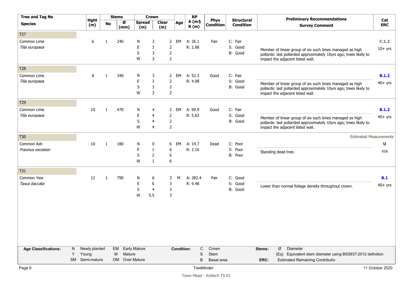| <b>Tree and Tag No</b>      |    |                    |              | <b>Stems</b> |                      | <b>Crown</b>   |                     |                    |                   | <b>RP</b>                  |                                 |                                       |        | <b>Preliminary Recommendations</b>                                |                   |
|-----------------------------|----|--------------------|--------------|--------------|----------------------|----------------|---------------------|--------------------|-------------------|----------------------------|---------------------------------|---------------------------------------|--------|-------------------------------------------------------------------|-------------------|
| <b>Species</b>              |    | <b>Hght</b><br>(m) | <b>No</b>    | Ø<br>(mm)    | <b>Spread</b><br>(m) |                | <b>Clear</b><br>(m) |                    | Age               | A(m <sub>2</sub> )<br>R(m) | <b>Phys</b><br><b>Condition</b> | <b>Structural</b><br><b>Condition</b> |        | <b>Survey Comment</b>                                             | Cat<br><b>ERC</b> |
| T <sub>27</sub>             |    |                    |              |              |                      |                |                     |                    |                   |                            |                                 |                                       |        |                                                                   |                   |
| Common Lime                 |    | 6                  | $\mathbf{1}$ | 240          | N                    | 3              |                     | $\mathbf{2}$<br>EM |                   | A: 26.1                    | Fair                            | C: Fair                               |        |                                                                   | C.1.2             |
| Tilia europaea              |    |                    |              |              | E                    | 3              | $\overline{2}$      |                    |                   | R: 2.88                    |                                 | S: Good                               |        | Member of linear group of six such limes managed as high          | $10+$ yrs         |
|                             |    |                    |              |              | S                    | 3              | $\overline{2}$      |                    |                   |                            |                                 | B: Good                               |        | pollards: last pollarded approximately 10yrs ago; trees likely to |                   |
|                             |    |                    |              |              | W                    | 3              | $\overline{2}$      |                    |                   |                            |                                 |                                       |        | impact the adjacent listed wall.                                  |                   |
| T <sub>28</sub>             |    |                    |              |              |                      |                |                     |                    |                   |                            |                                 |                                       |        |                                                                   |                   |
| Common Lime                 |    | 8                  | $\mathbf{1}$ | 340          | N                    | 3              | $\mathbf{2}$        | EM                 |                   | A: 52.3                    | Good                            | C: Fair                               |        |                                                                   | B.1.2             |
| Tilia europaea              |    |                    |              |              | E                    | 3              | $\overline{2}$      |                    |                   | R: 4.08                    |                                 | S: Good                               |        | Member of linear group of six such limes managed as high          | $40+$ yrs         |
|                             |    |                    |              |              | S                    | 3              | $\overline{2}$      |                    |                   |                            |                                 | B: Good                               |        | pollards: last pollarded approximately 10yrs ago; trees likely to |                   |
|                             |    |                    |              |              | W                    | 3              | $\overline{2}$      |                    |                   |                            |                                 |                                       |        | impact the adjacent listed wall.                                  |                   |
| T <sub>29</sub>             |    |                    |              |              |                      |                |                     |                    |                   |                            |                                 |                                       |        |                                                                   |                   |
| Common Lime                 |    | 10                 | 1            | 470          | N                    | 4              | $\mathbf{2}$        | EM                 |                   | A: 99.9                    | Good                            | C: Fair                               |        |                                                                   | B.1.2             |
| Tilia europaea              |    |                    |              |              | E                    | $\overline{4}$ | $\overline{2}$      |                    |                   | R: 5.63                    |                                 | S: Good                               |        | Member of linear group of six such limes managed as high          | $40+$ yrs         |
|                             |    |                    |              |              | S                    | 4              | $\overline{2}$      |                    |                   |                            |                                 | B: Good                               |        | pollards: last pollarded approximately 10yrs ago; trees likely to |                   |
|                             |    |                    |              |              | W                    | 4              | $\overline{2}$      |                    |                   |                            |                                 |                                       |        | impact the adjacent listed wall.                                  |                   |
| <b>T30</b>                  |    |                    |              |              |                      |                |                     |                    |                   |                            |                                 |                                       |        | <b>Estimated Measurements</b>                                     |                   |
| Common Ash                  |    | 10                 | 1            | 180          | N                    | 0              | 6                   | EM                 |                   | A: 14.7                    | Dead                            | C: Poor                               |        |                                                                   | U                 |
| Fraxinus excelsior          |    |                    |              |              | E                    | $\mathbf{1}$   | 6                   |                    |                   | R: 2.16                    |                                 | S: Poor                               |        | Standing dead tree.                                               | n/a               |
|                             |    |                    |              |              | S                    | $\overline{2}$ | 6                   |                    |                   |                            |                                 | B: Poor                               |        |                                                                   |                   |
|                             |    |                    |              |              | W                    | $\mathbf{1}$   | 6                   |                    |                   |                            |                                 |                                       |        |                                                                   |                   |
| T31                         |    |                    |              |              |                      |                |                     |                    |                   |                            |                                 |                                       |        |                                                                   |                   |
| Common Yew                  |    | 12                 | $\mathbf{1}$ | 790          | N                    | 6              | 3                   | M                  |                   | A: 282.4                   | Fair                            | C: Good                               |        |                                                                   | B.1               |
| Taxus baccata               |    |                    |              |              | E                    | 6              | 3                   |                    |                   | R: 9.48                    |                                 | S: Good                               |        | Lower than normal foliage density throughout crown.               | $40+$ yrs         |
|                             |    |                    |              |              | S                    | 4              | 3                   |                    |                   |                            |                                 | B: Good                               |        |                                                                   |                   |
|                             |    |                    |              |              | W                    | 5.5            | 3                   |                    |                   |                            |                                 |                                       |        |                                                                   |                   |
|                             |    |                    |              |              |                      |                |                     |                    |                   |                            |                                 |                                       |        |                                                                   |                   |
|                             |    |                    |              |              |                      |                |                     |                    |                   |                            |                                 |                                       |        |                                                                   |                   |
|                             |    |                    |              |              |                      |                |                     |                    |                   |                            |                                 |                                       |        |                                                                   |                   |
|                             |    |                    |              |              |                      |                |                     |                    |                   |                            |                                 |                                       |        |                                                                   |                   |
|                             |    |                    |              |              |                      |                |                     |                    |                   |                            |                                 |                                       |        |                                                                   |                   |
|                             |    |                    |              |              |                      |                |                     |                    |                   |                            |                                 |                                       |        |                                                                   |                   |
| <b>Age Classifications:</b> | N. | Newly planted      |              | EM           | <b>Early Mature</b>  |                |                     |                    | <b>Condition:</b> | C                          | Crown                           |                                       | Stems: | Ø<br><b>Diameter</b>                                              |                   |
| Y                           |    | Young              |              | M            | Mature               |                |                     |                    |                   | S                          | Stem                            |                                       |        | (Eq) Equivalent stem diameter using BS5837:2012 definition        |                   |
|                             |    | SM Semi-mature     |              |              | OM Over Mature       |                |                     |                    |                   | B                          | Basal area                      |                                       | ERC:   | <b>Estimated Remaining Contributio</b>                            |                   |
|                             |    |                    |              |              |                      |                |                     |                    |                   |                            |                                 |                                       |        |                                                                   | $\cdots$          |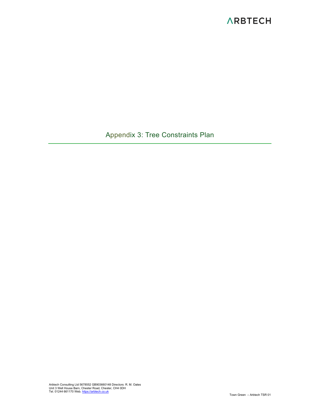Appendix 3: Tree Constraints Plan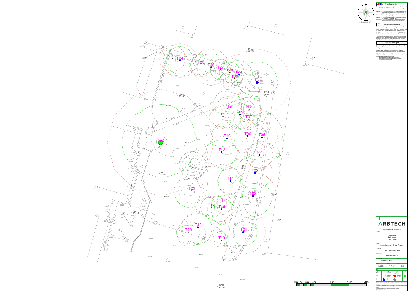67.59

67.59

| N               |                        |                                                                                                                                                                                       | <b>Tree Categories</b>                                                    |                                         |                                                                                                                                                                                                                                                                                                                                                                                                                                                                                                                                                                                                                                                                                      |            |
|-----------------|------------------------|---------------------------------------------------------------------------------------------------------------------------------------------------------------------------------------|---------------------------------------------------------------------------|-----------------------------------------|--------------------------------------------------------------------------------------------------------------------------------------------------------------------------------------------------------------------------------------------------------------------------------------------------------------------------------------------------------------------------------------------------------------------------------------------------------------------------------------------------------------------------------------------------------------------------------------------------------------------------------------------------------------------------------------|------------|
| <b>NW</b><br>NE |                        | demolition and construction - Recommendations'                                                                                                                                        |                                                                           |                                         | Trees are categorised in accordance with the cascade chart in Table 1<br>of the British Standard BS 5837:2012 'Trees in relation to design,                                                                                                                                                                                                                                                                                                                                                                                                                                                                                                                                          |            |
| ESE<br>WS!      |                        |                                                                                                                                                                                       | for longer than 10 years.                                                 |                                         | Category 'U' - Trees in such condition that they cannot realistically be<br>retained as living trees in context of the current land use<br>Category 'A' - Trees of high quality with an estimated remaining life                                                                                                                                                                                                                                                                                                                                                                                                                                                                     |            |
| SW<br>SE        |                        |                                                                                                                                                                                       | expectancy of at least 40 years.<br>life expectancy of at least 20 years. |                                         | Category 'B' - Trees of moderate quality with an estimated remaining                                                                                                                                                                                                                                                                                                                                                                                                                                                                                                                                                                                                                 |            |
| Indicative only |                        |                                                                                                                                                                                       | stem diameter below 150mm.                                                |                                         | Category 'C' - Trees of low quality with an estimated remaining life<br>expectancy of at least 10 years, or young trees with a                                                                                                                                                                                                                                                                                                                                                                                                                                                                                                                                                       |            |
|                 |                        | reflect the likely distribution of the roots.                                                                                                                                         | <b>Root Protection Area</b>                                               |                                         | In order to avoid damage to the roots or rooting environment of<br>retained trees, the Root Protection Areas (RPAs) should be plotted<br>around each of the category A, B and C trees. This is a minimum area<br>in m <sup>2</sup> which should be left undisturbed around each retained tree.<br>The RPA is calculated using the British Standard BS 5837:2012 'Trees<br>in relation to design, demolition and construction - Recommendations.<br>The calculated RPA is capped to 707m <sup>2</sup> , which is the equivalent to a<br>circle with a radius of 15m. Where there appears to be restrictions to<br>root growth the root protection area is reshaped to more accurately |            |
|                 |                        |                                                                                                                                                                                       | <b>Tree Survey Report</b>                                                 |                                         |                                                                                                                                                                                                                                                                                                                                                                                                                                                                                                                                                                                                                                                                                      |            |
|                 | shrub groups.          |                                                                                                                                                                                       |                                                                           |                                         | Please refer to Arbtech Consulting Ltd. Tree Survey Report and Tree<br>Schedule for full details on all surveyed trees, hedgerows and major                                                                                                                                                                                                                                                                                                                                                                                                                                                                                                                                          |            |
|                 |                        | obtain and arboricultural report to include:<br>a) An arboricultural impact assessment (AIA);<br>b) An arboricultural method statement (AMS); and<br>c) A tree protection plan (TPP). |                                                                           |                                         | All trees were surveyed and categorised in accordance with the<br>guidance as set out in the British Standard BS5837:2012 Tree in<br>relation to design, demolition and construction - Recommendations.<br>We make the following recommendation to ensure that no conditions<br>relating to arboriculture are attached to any planning consent secured:                                                                                                                                                                                                                                                                                                                              |            |
|                 |                        |                                                                                                                                                                                       |                                                                           |                                         |                                                                                                                                                                                                                                                                                                                                                                                                                                                                                                                                                                                                                                                                                      |            |
|                 |                        |                                                                                                                                                                                       |                                                                           |                                         |                                                                                                                                                                                                                                                                                                                                                                                                                                                                                                                                                                                                                                                                                      |            |
|                 | Rev:                   | Notes:<br>Date:                                                                                                                                                                       |                                                                           |                                         |                                                                                                                                                                                                                                                                                                                                                                                                                                                                                                                                                                                                                                                                                      |            |
|                 |                        |                                                                                                                                                                                       | https://arbtech.co.uk, 01244 661170                                       |                                         | <b>ARBTECH</b><br>Unit 3, Well House Barns, Chester, CH4 0DH                                                                                                                                                                                                                                                                                                                                                                                                                                                                                                                                                                                                                         |            |
|                 | Project:               |                                                                                                                                                                                       |                                                                           | <b>Town Green</b><br><b>Bell Street</b> |                                                                                                                                                                                                                                                                                                                                                                                                                                                                                                                                                                                                                                                                                      |            |
|                 | Client:                |                                                                                                                                                                                       |                                                                           | <b>CM21 9AQ</b>                         |                                                                                                                                                                                                                                                                                                                                                                                                                                                                                                                                                                                                                                                                                      |            |
|                 | Drawing:               |                                                                                                                                                                                       |                                                                           |                                         | Sawbridgeworth Town Council                                                                                                                                                                                                                                                                                                                                                                                                                                                                                                                                                                                                                                                          |            |
|                 | Based on:              |                                                                                                                                                                                       | <b>Tree Constraints Plan</b><br><b>THESU-J-0023</b>                       |                                         |                                                                                                                                                                                                                                                                                                                                                                                                                                                                                                                                                                                                                                                                                      |            |
|                 | Drawing No:            | Arbtech TCP 01                                                                                                                                                                        |                                                                           |                                         | Rev:                                                                                                                                                                                                                                                                                                                                                                                                                                                                                                                                                                                                                                                                                 |            |
|                 | Date:<br>Oct 2020      |                                                                                                                                                                                       | Scale:                                                                    | $1:100 \text{ @ ao}$                    | Drawn:                                                                                                                                                                                                                                                                                                                                                                                                                                                                                                                                                                                                                                                                               | <b>JCH</b> |
|                 | Key:<br>Tree<br>Nos.:  | <b>T01</b>                                                                                                                                                                            | Tree<br>Canopies:                                                         |                                         | Trunks:                                                                                                                                                                                                                                                                                                                                                                                                                                                                                                                                                                                                                                                                              |            |
|                 | RPAs:                  |                                                                                                                                                                                       | Category<br>'U' trees:                                                    |                                         | Category<br>'A' trees:                                                                                                                                                                                                                                                                                                                                                                                                                                                                                                                                                                                                                                                               |            |
|                 | Category<br>'B' trees: |                                                                                                                                                                                       | Category<br>'C' trees:                                                    |                                         |                                                                                                                                                                                                                                                                                                                                                                                                                                                                                                                                                                                                                                                                                      |            |



![](_page_18_Picture_7.jpeg)